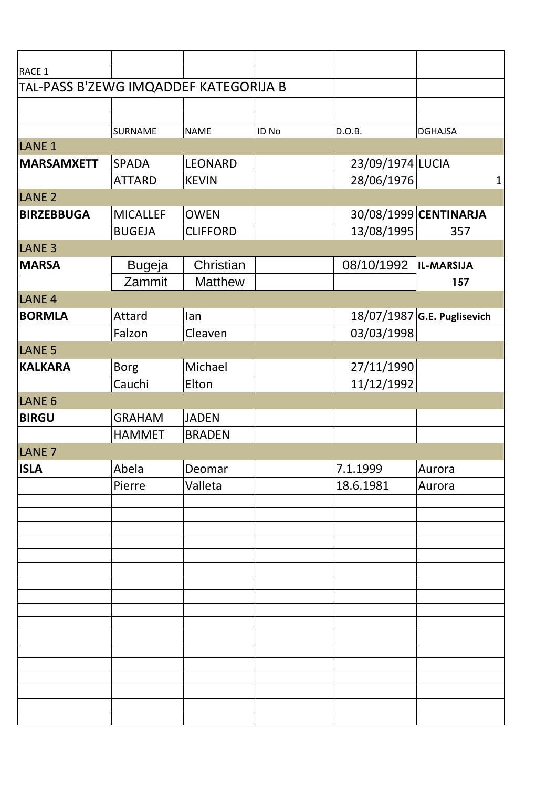| RACE 1                                |                 |                 |       |                  |                             |
|---------------------------------------|-----------------|-----------------|-------|------------------|-----------------------------|
| TAL-PASS B'ZEWG IMQADDEF KATEGORIJA B |                 |                 |       |                  |                             |
|                                       |                 |                 |       |                  |                             |
|                                       |                 |                 |       |                  |                             |
|                                       | SURNAME         | <b>NAME</b>     | ID No | D.O.B.           | <b>DGHAJSA</b>              |
| LANE <sub>1</sub>                     |                 |                 |       |                  |                             |
| <b>MARSAMXETT</b>                     | <b>SPADA</b>    | <b>LEONARD</b>  |       | 23/09/1974 LUCIA |                             |
|                                       | <b>ATTARD</b>   | <b>KEVIN</b>    |       | 28/06/1976       | 1                           |
| LANE <sub>2</sub>                     |                 |                 |       |                  |                             |
| <b>BIRZEBBUGA</b>                     | <b>MICALLEF</b> | <b>OWEN</b>     |       |                  | 30/08/1999 CENTINARJA       |
|                                       | <b>BUGEJA</b>   | <b>CLIFFORD</b> |       | 13/08/1995       | 357                         |
| LANE <sub>3</sub>                     |                 |                 |       |                  |                             |
| <b>MARSA</b>                          | <b>Bugeja</b>   | Christian       |       | 08/10/1992       | IL-MARSIJA                  |
|                                       | Zammit          | <b>Matthew</b>  |       |                  | 157                         |
| LANE <sub>4</sub>                     |                 |                 |       |                  |                             |
|                                       |                 |                 |       |                  |                             |
| <b>BORMLA</b>                         | Attard          | lan             |       |                  | 18/07/1987 G.E. Puglisevich |
|                                       | Falzon          | Cleaven         |       | 03/03/1998       |                             |
| LANE <sub>5</sub>                     |                 |                 |       |                  |                             |
| <b>KALKARA</b>                        | <b>Borg</b>     | Michael         |       | 27/11/1990       |                             |
|                                       | Cauchi          | Elton           |       | 11/12/1992       |                             |
| LANE <sub>6</sub>                     |                 |                 |       |                  |                             |
| <b>BIRGU</b>                          | <b>GRAHAM</b>   | <b>JADEN</b>    |       |                  |                             |
|                                       | <b>HAMMET</b>   | <b>BRADEN</b>   |       |                  |                             |
| LANE <sub>7</sub>                     |                 |                 |       |                  |                             |
| <b>ISLA</b>                           | Abela           | Deomar          |       | 7.1.1999         | Aurora                      |
|                                       | Pierre          | Valleta         |       | 18.6.1981        | Aurora                      |
|                                       |                 |                 |       |                  |                             |
|                                       |                 |                 |       |                  |                             |
|                                       |                 |                 |       |                  |                             |
|                                       |                 |                 |       |                  |                             |
|                                       |                 |                 |       |                  |                             |
|                                       |                 |                 |       |                  |                             |
|                                       |                 |                 |       |                  |                             |
|                                       |                 |                 |       |                  |                             |
|                                       |                 |                 |       |                  |                             |
|                                       |                 |                 |       |                  |                             |
|                                       |                 |                 |       |                  |                             |
|                                       |                 |                 |       |                  |                             |
|                                       |                 |                 |       |                  |                             |
|                                       |                 |                 |       |                  |                             |
|                                       |                 |                 |       |                  |                             |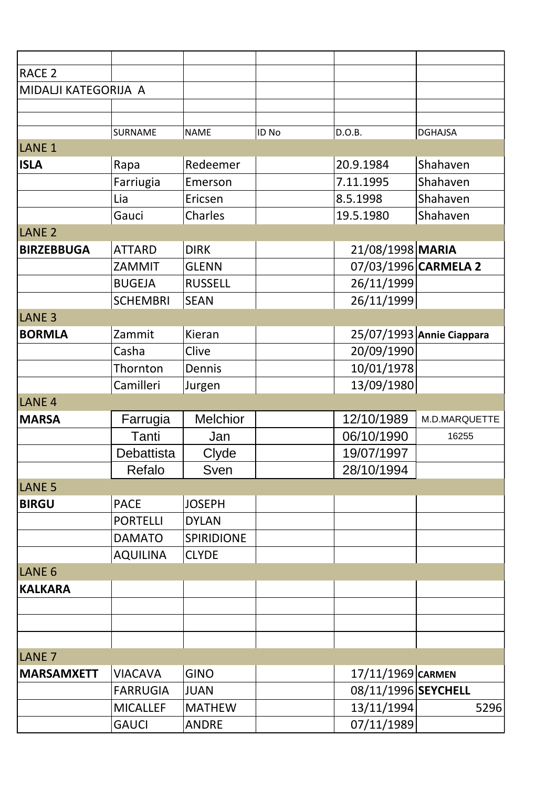| <b>RACE 2</b>        |                 |                   |       |                     |                           |
|----------------------|-----------------|-------------------|-------|---------------------|---------------------------|
|                      |                 |                   |       |                     |                           |
| MIDALJI KATEGORIJA A |                 |                   |       |                     |                           |
|                      |                 |                   |       |                     |                           |
|                      | SURNAME         | <b>NAME</b>       | ID No | D.O.B.              | <b>DGHAJSA</b>            |
| LANE <sub>1</sub>    |                 |                   |       |                     |                           |
| <b>ISLA</b>          | Rapa            | Redeemer          |       | 20.9.1984           | Shahaven                  |
|                      | Farriugia       | Emerson           |       | 7.11.1995           | Shahaven                  |
|                      | Lia             | Ericsen           |       | 8.5.1998            | Shahaven                  |
|                      | Gauci           | Charles           |       | 19.5.1980           | Shahaven                  |
| LANE <sub>2</sub>    |                 |                   |       |                     |                           |
| <b>BIRZEBBUGA</b>    | <b>ATTARD</b>   | <b>DIRK</b>       |       | 21/08/1998 MARIA    |                           |
|                      | ZAMMIT          | <b>GLENN</b>      |       |                     | 07/03/1996 CARMELA 2      |
|                      | <b>BUGEJA</b>   | <b>RUSSELL</b>    |       | 26/11/1999          |                           |
|                      | <b>SCHEMBRI</b> | <b>SEAN</b>       |       | 26/11/1999          |                           |
| LANE <sub>3</sub>    |                 |                   |       |                     |                           |
| <b>BORMLA</b>        | Zammit          | Kieran            |       |                     | 25/07/1993 Annie Ciappara |
|                      | Casha           | Clive             |       | 20/09/1990          |                           |
|                      | Thornton        | Dennis            |       | 10/01/1978          |                           |
|                      | Camilleri       | Jurgen            |       | 13/09/1980          |                           |
| LANE <sub>4</sub>    |                 |                   |       |                     |                           |
| <b>MARSA</b>         | Farrugia        | <b>Melchior</b>   |       | 12/10/1989          | M.D.MARQUETTE             |
|                      | Tanti           | Jan               |       | 06/10/1990          | 16255                     |
|                      | Debattista      | Clyde             |       | 19/07/1997          |                           |
|                      | Refalo          | Sven              |       | 28/10/1994          |                           |
| LANE <sub>5</sub>    |                 |                   |       |                     |                           |
| <b>BIRGU</b>         | <b>PACE</b>     | <b>JOSEPH</b>     |       |                     |                           |
|                      | <b>PORTELLI</b> | <b>DYLAN</b>      |       |                     |                           |
|                      | <b>DAMATO</b>   | <b>SPIRIDIONE</b> |       |                     |                           |
|                      | <b>AQUILINA</b> | <b>CLYDE</b>      |       |                     |                           |
| LANE <sub>6</sub>    |                 |                   |       |                     |                           |
| <b>KALKARA</b>       |                 |                   |       |                     |                           |
|                      |                 |                   |       |                     |                           |
|                      |                 |                   |       |                     |                           |
|                      |                 |                   |       |                     |                           |
| LANE <sub>7</sub>    |                 |                   |       |                     |                           |
| <b>MARSAMXETT</b>    | <b>VIACAVA</b>  | <b>GINO</b>       |       | 17/11/1969 CARMEN   |                           |
|                      | <b>FARRUGIA</b> | <b>JUAN</b>       |       | 08/11/1996 SEYCHELL |                           |
|                      | <b>MICALLEF</b> | <b>MATHEW</b>     |       | 13/11/1994          | 5296                      |
|                      | <b>GAUCI</b>    | <b>ANDRE</b>      |       | 07/11/1989          |                           |
|                      |                 |                   |       |                     |                           |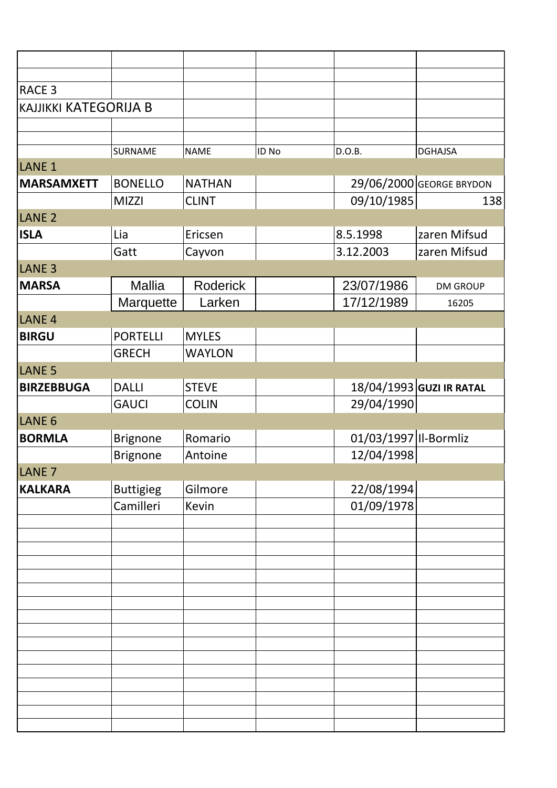| RACE <sub>3</sub>            |                  |               |       |                       |                          |
|------------------------------|------------------|---------------|-------|-----------------------|--------------------------|
| <b>KAJJIKKI KATEGORIJA B</b> |                  |               |       |                       |                          |
|                              |                  |               |       |                       |                          |
|                              | SURNAME          | <b>NAME</b>   | ID No | D.O.B.                | <b>DGHAJSA</b>           |
| LANE <sub>1</sub>            |                  |               |       |                       |                          |
| <b>MARSAMXETT</b>            | <b>BONELLO</b>   | <b>NATHAN</b> |       |                       | 29/06/2000 GEORGE BRYDON |
|                              | <b>MIZZI</b>     | <b>CLINT</b>  |       | 09/10/1985            | 138                      |
| LANE <sub>2</sub>            |                  |               |       |                       |                          |
| <b>ISLA</b>                  | Lia              | Ericsen       |       | 8.5.1998              | zaren Mifsud             |
|                              | Gatt             | Cayvon        |       | 3.12.2003             | zaren Mifsud             |
| LANE <sub>3</sub>            |                  |               |       |                       |                          |
| <b>MARSA</b>                 | <b>Mallia</b>    | Roderick      |       | 23/07/1986            | <b>DM GROUP</b>          |
|                              | Marquette        | Larken        |       | 17/12/1989            | 16205                    |
| LANE <sub>4</sub>            |                  |               |       |                       |                          |
| <b>BIRGU</b>                 | <b>PORTELLI</b>  | <b>MYLES</b>  |       |                       |                          |
|                              | <b>GRECH</b>     | <b>WAYLON</b> |       |                       |                          |
| LANE <sub>5</sub>            |                  |               |       |                       |                          |
| <b>BIRZEBBUGA</b>            | <b>DALLI</b>     | <b>STEVE</b>  |       |                       | 18/04/1993 GUZI IR RATAL |
|                              | <b>GAUCI</b>     | <b>COLIN</b>  |       | 29/04/1990            |                          |
| LANE <sub>6</sub>            |                  |               |       |                       |                          |
| <b>BORMLA</b>                | <b>Brignone</b>  | Romario       |       | 01/03/1997 II-Bormliz |                          |
|                              | <b>Brignone</b>  | Antoine       |       | 12/04/1998            |                          |
| LANE <sub>7</sub>            |                  |               |       |                       |                          |
| <b>KALKARA</b>               | <b>Buttigieg</b> | Gilmore       |       | 22/08/1994            |                          |
|                              | Camilleri        | Kevin         |       | 01/09/1978            |                          |
|                              |                  |               |       |                       |                          |
|                              |                  |               |       |                       |                          |
|                              |                  |               |       |                       |                          |
|                              |                  |               |       |                       |                          |
|                              |                  |               |       |                       |                          |
|                              |                  |               |       |                       |                          |
|                              |                  |               |       |                       |                          |
|                              |                  |               |       |                       |                          |
|                              |                  |               |       |                       |                          |
|                              |                  |               |       |                       |                          |
|                              |                  |               |       |                       |                          |
|                              |                  |               |       |                       |                          |
|                              |                  |               |       |                       |                          |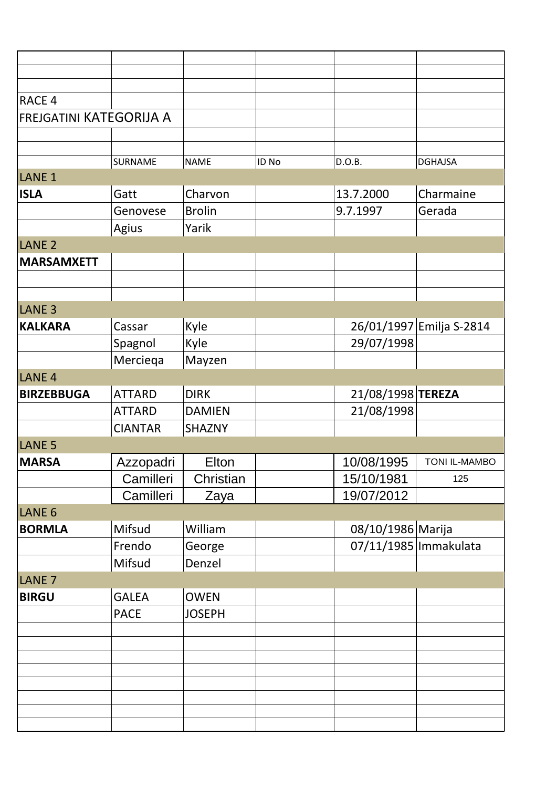| RACE 4                         |                |               |       |                         |                          |
|--------------------------------|----------------|---------------|-------|-------------------------|--------------------------|
| <b>FREJGATINI KATEGORIJA A</b> |                |               |       |                         |                          |
|                                |                |               |       |                         |                          |
|                                |                |               |       |                         |                          |
| LANE <sub>1</sub>              | <b>SURNAME</b> | <b>NAME</b>   | ID No | D.O.B.                  | <b>DGHAJSA</b>           |
|                                |                | Charvon       |       |                         | Charmaine                |
| <b>ISLA</b>                    | Gatt           |               |       | 13.7.2000               |                          |
|                                | Genovese       | <b>Brolin</b> |       | 9.7.1997                | Gerada                   |
|                                | Agius          | Yarik         |       |                         |                          |
| LANE <sub>2</sub>              |                |               |       |                         |                          |
| <b>MARSAMXETT</b>              |                |               |       |                         |                          |
|                                |                |               |       |                         |                          |
|                                |                |               |       |                         |                          |
| LANE <sub>3</sub>              |                |               |       |                         |                          |
| <b>KALKARA</b>                 | Cassar         | Kyle          |       |                         | 26/01/1997 Emilja S-2814 |
|                                | Spagnol        | Kyle          |       | 29/07/1998              |                          |
|                                | Merciega       | Mayzen        |       |                         |                          |
| LANE <sub>4</sub>              |                |               |       |                         |                          |
| <b>BIRZEBBUGA</b>              | <b>ATTARD</b>  | <b>DIRK</b>   |       | 21/08/1998 TEREZA       |                          |
|                                | <b>ATTARD</b>  | <b>DAMIEN</b> |       | 21/08/1998              |                          |
|                                | <b>CIANTAR</b> | <b>SHAZNY</b> |       |                         |                          |
| LANE <sub>5</sub>              |                |               |       |                         |                          |
| <b>MARSA</b>                   | Azzopadri      | Elton         |       | 10/08/1995              | <b>TONI IL-MAMBO</b>     |
|                                | Camilleri      | Christian     |       | 15/10/1981              | 125                      |
|                                | Camilleri      | Zaya          |       | 19/07/2012              |                          |
| LANE <sub>6</sub>              |                |               |       |                         |                          |
| <b>BORMLA</b>                  | Mifsud         | William       |       | 08/10/1986 Marija       |                          |
|                                | Frendo         | George        |       | 07/11/1985   Immakulata |                          |
|                                | Mifsud         | Denzel        |       |                         |                          |
| LANE <sub>7</sub>              |                |               |       |                         |                          |
| <b>BIRGU</b>                   | <b>GALEA</b>   | <b>OWEN</b>   |       |                         |                          |
|                                | <b>PACE</b>    | <b>JOSEPH</b> |       |                         |                          |
|                                |                |               |       |                         |                          |
|                                |                |               |       |                         |                          |
|                                |                |               |       |                         |                          |
|                                |                |               |       |                         |                          |
|                                |                |               |       |                         |                          |
|                                |                |               |       |                         |                          |
|                                |                |               |       |                         |                          |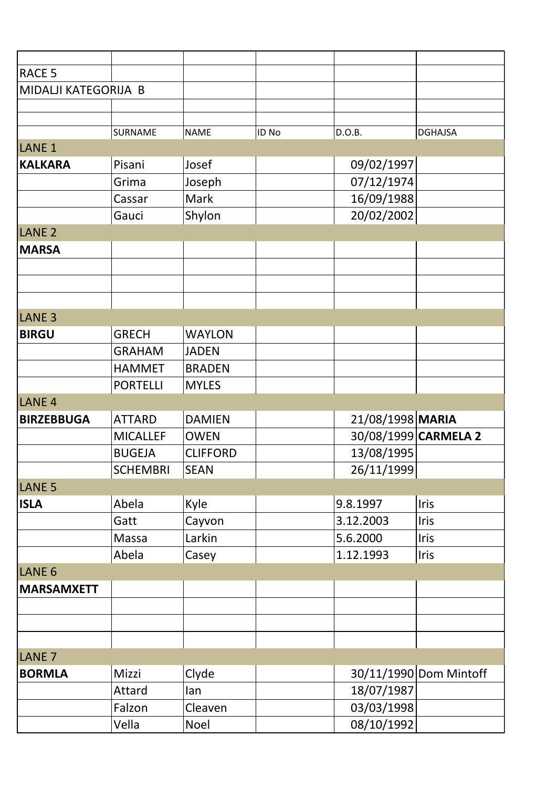| <b>RACE 5</b>        |                 |                 |       |                  |                        |
|----------------------|-----------------|-----------------|-------|------------------|------------------------|
| MIDALJI KATEGORIJA B |                 |                 |       |                  |                        |
|                      |                 |                 |       |                  |                        |
|                      |                 |                 |       |                  |                        |
|                      | SURNAME         | <b>NAME</b>     | ID No | D.O.B.           | <b>DGHAJSA</b>         |
| LANE <sub>1</sub>    |                 |                 |       |                  |                        |
| <b>KALKARA</b>       | Pisani          | Josef           |       | 09/02/1997       |                        |
|                      | Grima           | Joseph          |       | 07/12/1974       |                        |
|                      | Cassar          | Mark            |       | 16/09/1988       |                        |
|                      | Gauci           | Shylon          |       | 20/02/2002       |                        |
| LANE <sub>2</sub>    |                 |                 |       |                  |                        |
| <b>MARSA</b>         |                 |                 |       |                  |                        |
|                      |                 |                 |       |                  |                        |
|                      |                 |                 |       |                  |                        |
|                      |                 |                 |       |                  |                        |
| LANE <sub>3</sub>    |                 |                 |       |                  |                        |
| <b>BIRGU</b>         | <b>GRECH</b>    | <b>WAYLON</b>   |       |                  |                        |
|                      | <b>GRAHAM</b>   | <b>JADEN</b>    |       |                  |                        |
|                      | <b>HAMMET</b>   | <b>BRADEN</b>   |       |                  |                        |
|                      | <b>PORTELLI</b> | <b>MYLES</b>    |       |                  |                        |
| LANE <sub>4</sub>    |                 |                 |       |                  |                        |
| <b>BIRZEBBUGA</b>    | <b>ATTARD</b>   | <b>DAMIEN</b>   |       | 21/08/1998 MARIA |                        |
|                      | <b>MICALLEF</b> | <b>OWEN</b>     |       |                  | 30/08/1999 CARMELA 2   |
|                      | <b>BUGEJA</b>   | <b>CLIFFORD</b> |       | 13/08/1995       |                        |
|                      | <b>SCHEMBRI</b> | <b>SEAN</b>     |       | 26/11/1999       |                        |
| LANE <sub>5</sub>    |                 |                 |       |                  |                        |
| <b>ISLA</b>          | Abela           | Kyle            |       | 9.8.1997         | Iris                   |
|                      | Gatt            | Cayvon          |       | 3.12.2003        | <b>Iris</b>            |
|                      | Massa           | Larkin          |       | 5.6.2000         | <b>Iris</b>            |
|                      | Abela           | Casey           |       | 1.12.1993        | <b>Iris</b>            |
| LANE <sub>6</sub>    |                 |                 |       |                  |                        |
| <b>MARSAMXETT</b>    |                 |                 |       |                  |                        |
|                      |                 |                 |       |                  |                        |
|                      |                 |                 |       |                  |                        |
|                      |                 |                 |       |                  |                        |
| LANE <sub>7</sub>    |                 |                 |       |                  |                        |
| <b>BORMLA</b>        | Mizzi           | Clyde           |       |                  | 30/11/1990 Dom Mintoff |
|                      |                 |                 |       | 18/07/1987       |                        |
|                      | Attard          | lan             |       |                  |                        |
|                      | Falzon          | Cleaven         |       | 03/03/1998       |                        |
|                      | Vella           | Noel            |       | 08/10/1992       |                        |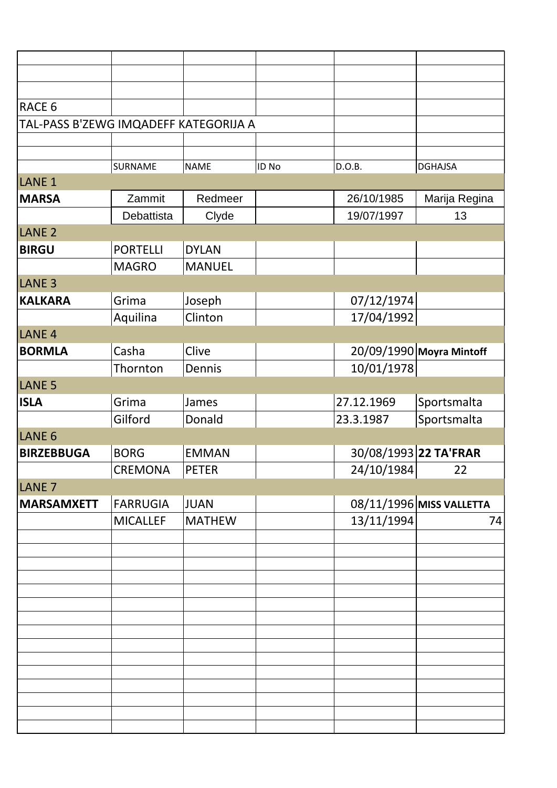| RACE 6                                |                 |               |       |            |                          |
|---------------------------------------|-----------------|---------------|-------|------------|--------------------------|
| TAL-PASS B'ZEWG IMQADEFF KATEGORIJA A |                 |               |       |            |                          |
|                                       |                 |               |       |            |                          |
|                                       | SURNAME         | <b>NAME</b>   | ID No | D.O.B.     | <b>DGHAJSA</b>           |
| LANE <sub>1</sub>                     |                 |               |       |            |                          |
| <b>MARSA</b>                          | Zammit          | Redmeer       |       | 26/10/1985 | Marija Regina            |
|                                       | Debattista      | Clyde         |       | 19/07/1997 | 13                       |
| LANE <sub>2</sub>                     |                 |               |       |            |                          |
| <b>BIRGU</b>                          | <b>PORTELLI</b> | <b>DYLAN</b>  |       |            |                          |
|                                       | <b>MAGRO</b>    | <b>MANUEL</b> |       |            |                          |
| LANE <sub>3</sub>                     |                 |               |       |            |                          |
| <b>KALKARA</b>                        | Grima           | Joseph        |       | 07/12/1974 |                          |
|                                       | Aquilina        | Clinton       |       | 17/04/1992 |                          |
| LANE <sub>4</sub>                     |                 |               |       |            |                          |
| <b>BORMLA</b>                         | Casha           | Clive         |       |            | 20/09/1990 Moyra Mintoff |
|                                       | Thornton        | Dennis        |       | 10/01/1978 |                          |
| LANE <sub>5</sub>                     |                 |               |       |            |                          |
| <b>ISLA</b>                           | Grima           | James         |       | 27.12.1969 | Sportsmalta              |
|                                       | Gilford         | Donald        |       | 23.3.1987  | Sportsmalta              |
| LANE <sub>6</sub>                     |                 |               |       |            |                          |
| <b>BIRZEBBUGA</b>                     | <b>BORG</b>     | <b>EMMAN</b>  |       |            | 30/08/1993 22 TA'FRAR    |
|                                       | CREMONA         | <b>PETER</b>  |       | 24/10/1984 | 22                       |
| LANE <sub>7</sub>                     |                 |               |       |            |                          |
| <b>MARSAMXETT</b>                     | FARRUGIA        | <b>JUAN</b>   |       |            | 08/11/1996 MISS VALLETTA |
|                                       | <b>MICALLEF</b> | <b>MATHEW</b> |       | 13/11/1994 | 74                       |
|                                       |                 |               |       |            |                          |
|                                       |                 |               |       |            |                          |
|                                       |                 |               |       |            |                          |
|                                       |                 |               |       |            |                          |
|                                       |                 |               |       |            |                          |
|                                       |                 |               |       |            |                          |
|                                       |                 |               |       |            |                          |
|                                       |                 |               |       |            |                          |
|                                       |                 |               |       |            |                          |
|                                       |                 |               |       |            |                          |
|                                       |                 |               |       |            |                          |
|                                       |                 |               |       |            |                          |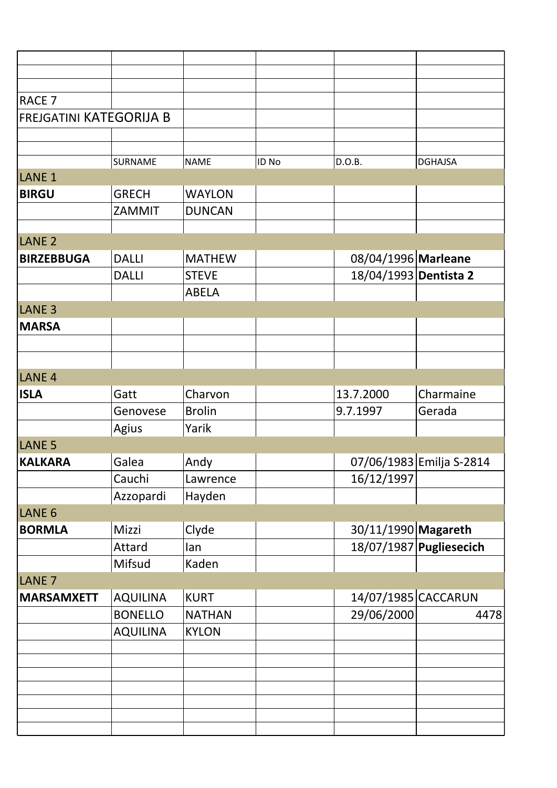| <b>RACE 7</b>                  |                 |               |       |                       |                          |
|--------------------------------|-----------------|---------------|-------|-----------------------|--------------------------|
| <b>FREJGATINI KATEGORIJA B</b> |                 |               |       |                       |                          |
|                                |                 |               |       |                       |                          |
|                                |                 |               |       |                       |                          |
|                                | SURNAME         | <b>NAME</b>   | ID No | D.O.B.                | <b>DGHAJSA</b>           |
| LANE <sub>1</sub>              |                 |               |       |                       |                          |
| <b>BIRGU</b>                   | <b>GRECH</b>    | <b>WAYLON</b> |       |                       |                          |
|                                | ZAMMIT          | <b>DUNCAN</b> |       |                       |                          |
|                                |                 |               |       |                       |                          |
| LANE <sub>2</sub>              |                 |               |       |                       |                          |
| <b>BIRZEBBUGA</b>              | <b>DALLI</b>    | <b>MATHEW</b> |       | 08/04/1996 Marleane   |                          |
|                                | <b>DALLI</b>    | <b>STEVE</b>  |       | 18/04/1993 Dentista 2 |                          |
|                                |                 | <b>ABELA</b>  |       |                       |                          |
| LANE <sub>3</sub>              |                 |               |       |                       |                          |
| <b>MARSA</b>                   |                 |               |       |                       |                          |
|                                |                 |               |       |                       |                          |
|                                |                 |               |       |                       |                          |
| LANE <sub>4</sub>              |                 |               |       |                       |                          |
| <b>ISLA</b>                    | Gatt            | Charvon       |       | 13.7.2000             | Charmaine                |
|                                | Genovese        | <b>Brolin</b> |       | 9.7.1997              | Gerada                   |
|                                | Agius           | Yarik         |       |                       |                          |
| LANE <sub>5</sub>              |                 |               |       |                       |                          |
| KALKARA                        | Galea           | Andy          |       |                       | 07/06/1983 Emilja S-2814 |
|                                | Cauchi          | Lawrence      |       | 16/12/1997            |                          |
|                                | Azzopardi       | Hayden        |       |                       |                          |
| LANE <sub>6</sub>              |                 |               |       |                       |                          |
| <b>BORMLA</b>                  | Mizzi           | Clyde         |       | 30/11/1990 Magareth   |                          |
|                                | Attard          | lan           |       |                       | 18/07/1987 Pugliesecich  |
|                                | Mifsud          | Kaden         |       |                       |                          |
| LANE <sub>7</sub>              |                 |               |       |                       |                          |
| <b>MARSAMXETT</b>              | <b>AQUILINA</b> | <b>KURT</b>   |       | 14/07/1985 CACCARUN   |                          |
|                                | <b>BONELLO</b>  | <b>NATHAN</b> |       | 29/06/2000            | 4478                     |
|                                | <b>AQUILINA</b> | <b>KYLON</b>  |       |                       |                          |
|                                |                 |               |       |                       |                          |
|                                |                 |               |       |                       |                          |
|                                |                 |               |       |                       |                          |
|                                |                 |               |       |                       |                          |
|                                |                 |               |       |                       |                          |
|                                |                 |               |       |                       |                          |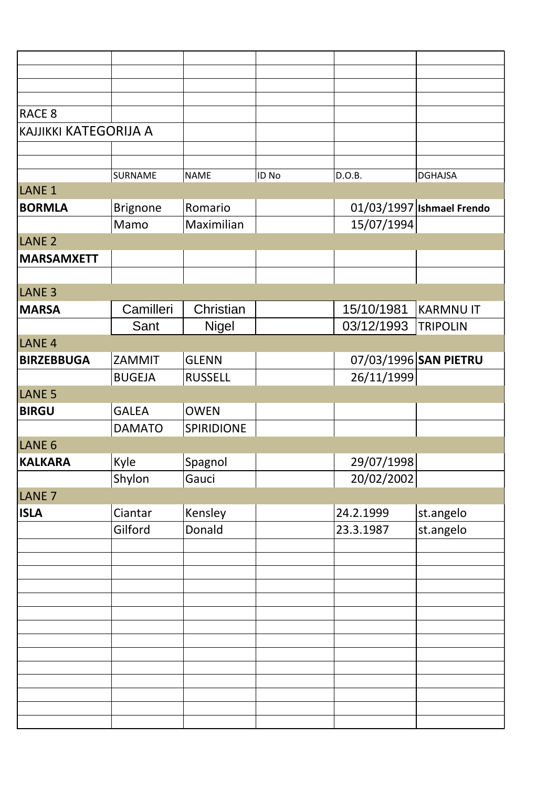| RACE <sub>8</sub>            |                 |                |       |            |                           |
|------------------------------|-----------------|----------------|-------|------------|---------------------------|
| <b>KAJJIKKI KATEGORIJA A</b> |                 |                |       |            |                           |
|                              |                 |                |       |            |                           |
|                              |                 |                |       |            |                           |
|                              | SURNAME         | <b>NAME</b>    | ID No | D.O.B.     | <b>DGHAJSA</b>            |
| LANE <sub>1</sub>            |                 |                |       |            |                           |
| <b>BORMLA</b>                | <b>Brignone</b> | Romario        |       |            | 01/03/1997 Ishmael Frendo |
|                              | Mamo            | Maximilian     |       | 15/07/1994 |                           |
| LANE <sub>2</sub>            |                 |                |       |            |                           |
| <b>MARSAMXETT</b>            |                 |                |       |            |                           |
|                              |                 |                |       |            |                           |
| LANE <sub>3</sub>            |                 |                |       |            |                           |
| <b>MARSA</b>                 | Camilleri       | Christian      |       | 15/10/1981 | <b>KARMNU IT</b>          |
|                              | Sant            |                |       | 03/12/1993 | <b>TRIPOLIN</b>           |
|                              |                 | <b>Nigel</b>   |       |            |                           |
| LANE <sub>4</sub>            |                 |                |       |            |                           |
| <b>BIRZEBBUGA</b>            | ZAMMIT          | <b>GLENN</b>   |       |            | 07/03/1996 SAN PIETRU     |
|                              | <b>BUGEJA</b>   | <b>RUSSELL</b> |       | 26/11/1999 |                           |
| LANE <sub>5</sub>            |                 |                |       |            |                           |
| <b>BIRGU</b>                 | <b>GALEA</b>    | <b>OWEN</b>    |       |            |                           |
|                              | <b>DAMATO</b>   | SPIRIDIONE     |       |            |                           |
| LANE <sub>6</sub>            |                 |                |       |            |                           |
| <b>KALKARA</b>               | Kyle            | Spagnol        |       | 29/07/1998 |                           |
|                              | Shylon          | Gauci          |       | 20/02/2002 |                           |
| LANE <sub>7</sub>            |                 |                |       |            |                           |
| <b>ISLA</b>                  | Ciantar         | Kensley        |       | 24.2.1999  | st.angelo                 |
|                              | Gilford         | Donald         |       | 23.3.1987  | st.angelo                 |
|                              |                 |                |       |            |                           |
|                              |                 |                |       |            |                           |
|                              |                 |                |       |            |                           |
|                              |                 |                |       |            |                           |
|                              |                 |                |       |            |                           |
|                              |                 |                |       |            |                           |
|                              |                 |                |       |            |                           |
|                              |                 |                |       |            |                           |
|                              |                 |                |       |            |                           |
|                              |                 |                |       |            |                           |
|                              |                 |                |       |            |                           |
|                              |                 |                |       |            |                           |
|                              |                 |                |       |            |                           |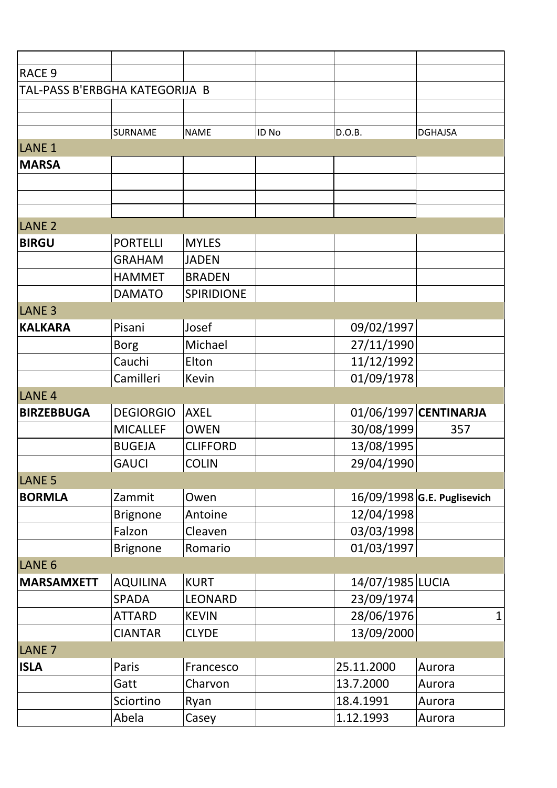| <b>RACE 9</b>                  |                  |                   |       |                  |                             |
|--------------------------------|------------------|-------------------|-------|------------------|-----------------------------|
| TAL-PASS B'ERBGHA KATEGORIJA B |                  |                   |       |                  |                             |
|                                |                  |                   |       |                  |                             |
|                                | SURNAME          | <b>NAME</b>       | ID No | D.O.B.           | <b>DGHAJSA</b>              |
| LANE <sub>1</sub>              |                  |                   |       |                  |                             |
| <b>MARSA</b>                   |                  |                   |       |                  |                             |
|                                |                  |                   |       |                  |                             |
|                                |                  |                   |       |                  |                             |
|                                |                  |                   |       |                  |                             |
| LANE <sub>2</sub>              |                  |                   |       |                  |                             |
| <b>BIRGU</b>                   | <b>PORTELLI</b>  | <b>MYLES</b>      |       |                  |                             |
|                                | <b>GRAHAM</b>    | <b>JADEN</b>      |       |                  |                             |
|                                | <b>HAMMET</b>    | <b>BRADEN</b>     |       |                  |                             |
|                                | <b>DAMATO</b>    | <b>SPIRIDIONE</b> |       |                  |                             |
| LANE <sub>3</sub>              |                  |                   |       |                  |                             |
| <b>KALKARA</b>                 | Pisani           | Josef             |       | 09/02/1997       |                             |
|                                | <b>Borg</b>      | Michael           |       | 27/11/1990       |                             |
|                                | Cauchi           | Elton             |       | 11/12/1992       |                             |
|                                | Camilleri        | Kevin             |       | 01/09/1978       |                             |
| LANE <sub>4</sub>              |                  |                   |       |                  |                             |
| <b>BIRZEBBUGA</b>              | <b>DEGIORGIO</b> | <b>AXEL</b>       |       |                  | 01/06/1997 CENTINARJA       |
|                                | <b>MICALLEF</b>  | <b>OWEN</b>       |       | 30/08/1999       | 357                         |
|                                | <b>BUGEJA</b>    | <b>CLIFFORD</b>   |       | 13/08/1995       |                             |
|                                | <b>GAUCI</b>     | <b>COLIN</b>      |       | 29/04/1990       |                             |
| LANE <sub>5</sub>              |                  |                   |       |                  |                             |
| <b>BORMLA</b>                  | Zammit           | Owen              |       |                  | 16/09/1998 G.E. Puglisevich |
|                                | <b>Brignone</b>  | Antoine           |       | 12/04/1998       |                             |
|                                | Falzon           | Cleaven           |       | 03/03/1998       |                             |
|                                | <b>Brignone</b>  | Romario           |       | 01/03/1997       |                             |
| LANE <sub>6</sub>              |                  |                   |       |                  |                             |
| <b>MARSAMXETT</b>              | <b>AQUILINA</b>  | <b>KURT</b>       |       | 14/07/1985 LUCIA |                             |
|                                | <b>SPADA</b>     | <b>LEONARD</b>    |       | 23/09/1974       |                             |
|                                | <b>ATTARD</b>    | <b>KEVIN</b>      |       | 28/06/1976       | 1                           |
|                                | <b>CIANTAR</b>   | <b>CLYDE</b>      |       | 13/09/2000       |                             |
| LANE <sub>7</sub>              |                  |                   |       |                  |                             |
| <b>ISLA</b>                    | Paris            | Francesco         |       | 25.11.2000       | Aurora                      |
|                                | Gatt             | Charvon           |       | 13.7.2000        | Aurora                      |
|                                | Sciortino        | Ryan              |       | 18.4.1991        | Aurora                      |
|                                | Abela            | Casey             |       | 1.12.1993        | Aurora                      |
|                                |                  |                   |       |                  |                             |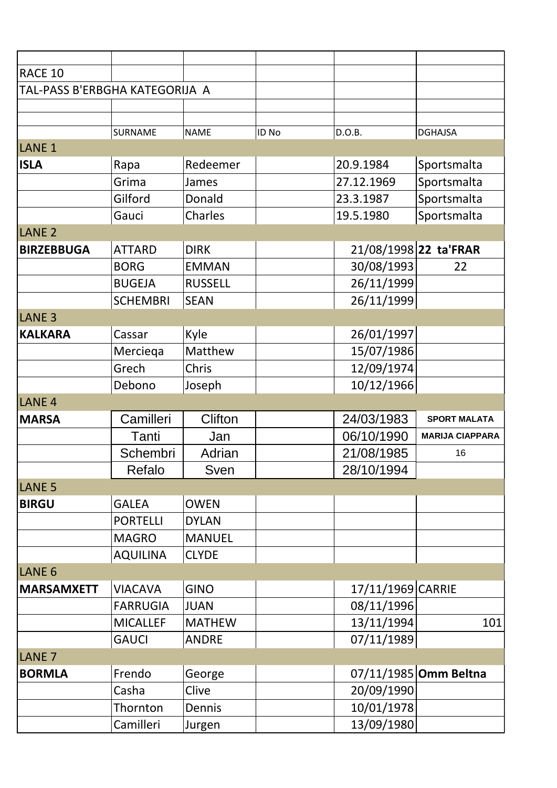| RACE 10                        |                 |                |       |                   |                        |
|--------------------------------|-----------------|----------------|-------|-------------------|------------------------|
| TAL-PASS B'ERBGHA KATEGORIJA A |                 |                |       |                   |                        |
|                                |                 |                |       |                   |                        |
|                                | SURNAME         | <b>NAME</b>    | ID No | D.O.B.            | <b>DGHAJSA</b>         |
| LANE <sub>1</sub>              |                 |                |       |                   |                        |
| <b>ISLA</b>                    | Rapa            | Redeemer       |       | 20.9.1984         | Sportsmalta            |
|                                | Grima           | James          |       | 27.12.1969        | Sportsmalta            |
|                                | Gilford         | Donald         |       | 23.3.1987         | Sportsmalta            |
|                                | Gauci           | Charles        |       | 19.5.1980         | Sportsmalta            |
| LANE <sub>2</sub>              |                 |                |       |                   |                        |
| <b>BIRZEBBUGA</b>              | <b>ATTARD</b>   | <b>DIRK</b>    |       |                   | 21/08/1998 22 ta'FRAR  |
|                                | <b>BORG</b>     | <b>EMMAN</b>   |       | 30/08/1993        | 22                     |
|                                | <b>BUGEJA</b>   | <b>RUSSELL</b> |       | 26/11/1999        |                        |
|                                | <b>SCHEMBRI</b> | <b>SEAN</b>    |       | 26/11/1999        |                        |
| LANE <sub>3</sub>              |                 |                |       |                   |                        |
| <b>KALKARA</b>                 | Cassar          | Kyle           |       | 26/01/1997        |                        |
|                                | Merciega        | Matthew        |       | 15/07/1986        |                        |
|                                | Grech           | Chris          |       | 12/09/1974        |                        |
|                                | Debono          | Joseph         |       | 10/12/1966        |                        |
| LANE <sub>4</sub>              |                 |                |       |                   |                        |
| <b>MARSA</b>                   | Camilleri       | <b>Clifton</b> |       | 24/03/1983        | <b>SPORT MALATA</b>    |
|                                | Tanti           | Jan            |       | 06/10/1990        | <b>MARIJA CIAPPARA</b> |
|                                | Schembri        | Adrian         |       | 21/08/1985        | 16                     |
|                                | Refalo          | Sven           |       | 28/10/1994        |                        |
| <b>LANE 5</b>                  |                 |                |       |                   |                        |
| <b>BIRGU</b>                   | <b>GALEA</b>    | <b>OWEN</b>    |       |                   |                        |
|                                | <b>PORTELLI</b> | <b>DYLAN</b>   |       |                   |                        |
|                                | <b>MAGRO</b>    | <b>MANUEL</b>  |       |                   |                        |
|                                | <b>AQUILINA</b> | <b>CLYDE</b>   |       |                   |                        |
| LANE <sub>6</sub>              |                 |                |       |                   |                        |
| <b>MARSAMXETT</b>              | <b>VIACAVA</b>  | <b>GINO</b>    |       | 17/11/1969 CARRIE |                        |
|                                | <b>FARRUGIA</b> | <b>JUAN</b>    |       | 08/11/1996        |                        |
|                                | <b>MICALLEF</b> | <b>MATHEW</b>  |       | 13/11/1994        | 101                    |
|                                | <b>GAUCI</b>    | <b>ANDRE</b>   |       | 07/11/1989        |                        |
| LANE <sub>7</sub>              |                 |                |       |                   |                        |
| <b>BORMLA</b>                  | Frendo          | George         |       |                   | 07/11/1985 Omm Beltna  |
|                                | Casha           | Clive          |       | 20/09/1990        |                        |
|                                | Thornton        | Dennis         |       | 10/01/1978        |                        |
|                                | Camilleri       | Jurgen         |       | 13/09/1980        |                        |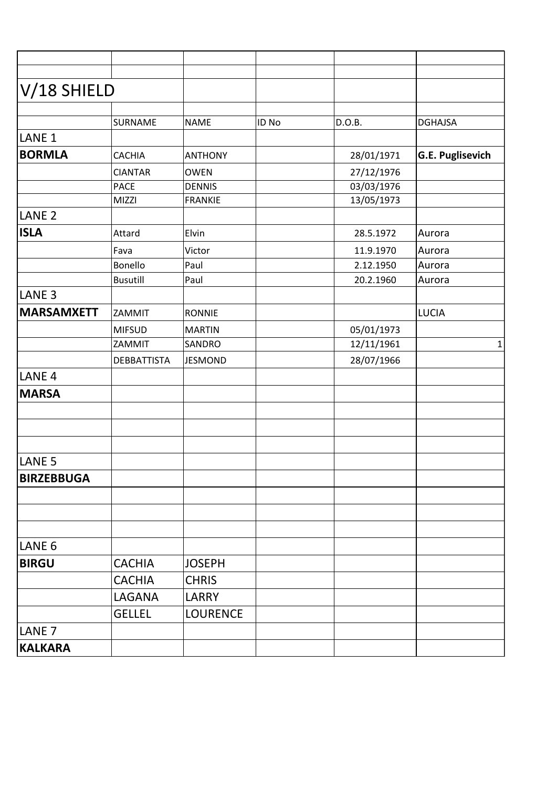| V/18 SHIELD       |                    |                 |       |            |                         |
|-------------------|--------------------|-----------------|-------|------------|-------------------------|
|                   | SURNAME            | <b>NAME</b>     | ID No | D.O.B.     | <b>DGHAJSA</b>          |
| LANE <sub>1</sub> |                    |                 |       |            |                         |
| <b>BORMLA</b>     | CACHIA             | <b>ANTHONY</b>  |       | 28/01/1971 | <b>G.E. Puglisevich</b> |
|                   | <b>CIANTAR</b>     | <b>OWEN</b>     |       | 27/12/1976 |                         |
|                   | <b>PACE</b>        | <b>DENNIS</b>   |       | 03/03/1976 |                         |
|                   | MIZZI              | FRANKIE         |       | 13/05/1973 |                         |
| LANE <sub>2</sub> |                    |                 |       |            |                         |
| <b>ISLA</b>       | Attard             | Elvin           |       | 28.5.1972  | Aurora                  |
|                   | Fava               | Victor          |       | 11.9.1970  | Aurora                  |
|                   | Bonello            | Paul            |       | 2.12.1950  | Aurora                  |
|                   | <b>Busutill</b>    | Paul            |       | 20.2.1960  | Aurora                  |
| LANE <sub>3</sub> |                    |                 |       |            |                         |
| <b>MARSAMXETT</b> | <b>ZAMMIT</b>      | RONNIE          |       |            | LUCIA                   |
|                   | <b>MIFSUD</b>      | MARTIN          |       | 05/01/1973 |                         |
|                   | <b>ZAMMIT</b>      | SANDRO          |       | 12/11/1961 | 1                       |
|                   | <b>DEBBATTISTA</b> | <b>JESMOND</b>  |       | 28/07/1966 |                         |
| LANE <sub>4</sub> |                    |                 |       |            |                         |
| <b>MARSA</b>      |                    |                 |       |            |                         |
|                   |                    |                 |       |            |                         |
|                   |                    |                 |       |            |                         |
|                   |                    |                 |       |            |                         |
| LANE <sub>5</sub> |                    |                 |       |            |                         |
| <b>BIRZEBBUGA</b> |                    |                 |       |            |                         |
|                   |                    |                 |       |            |                         |
|                   |                    |                 |       |            |                         |
|                   |                    |                 |       |            |                         |
| LANE <sub>6</sub> |                    |                 |       |            |                         |
| <b>BIRGU</b>      | <b>CACHIA</b>      | <b>JOSEPH</b>   |       |            |                         |
|                   | <b>CACHIA</b>      | <b>CHRIS</b>    |       |            |                         |
|                   | LAGANA             | LARRY           |       |            |                         |
|                   | <b>GELLEL</b>      | <b>LOURENCE</b> |       |            |                         |
| LANE <sub>7</sub> |                    |                 |       |            |                         |
| <b>KALKARA</b>    |                    |                 |       |            |                         |